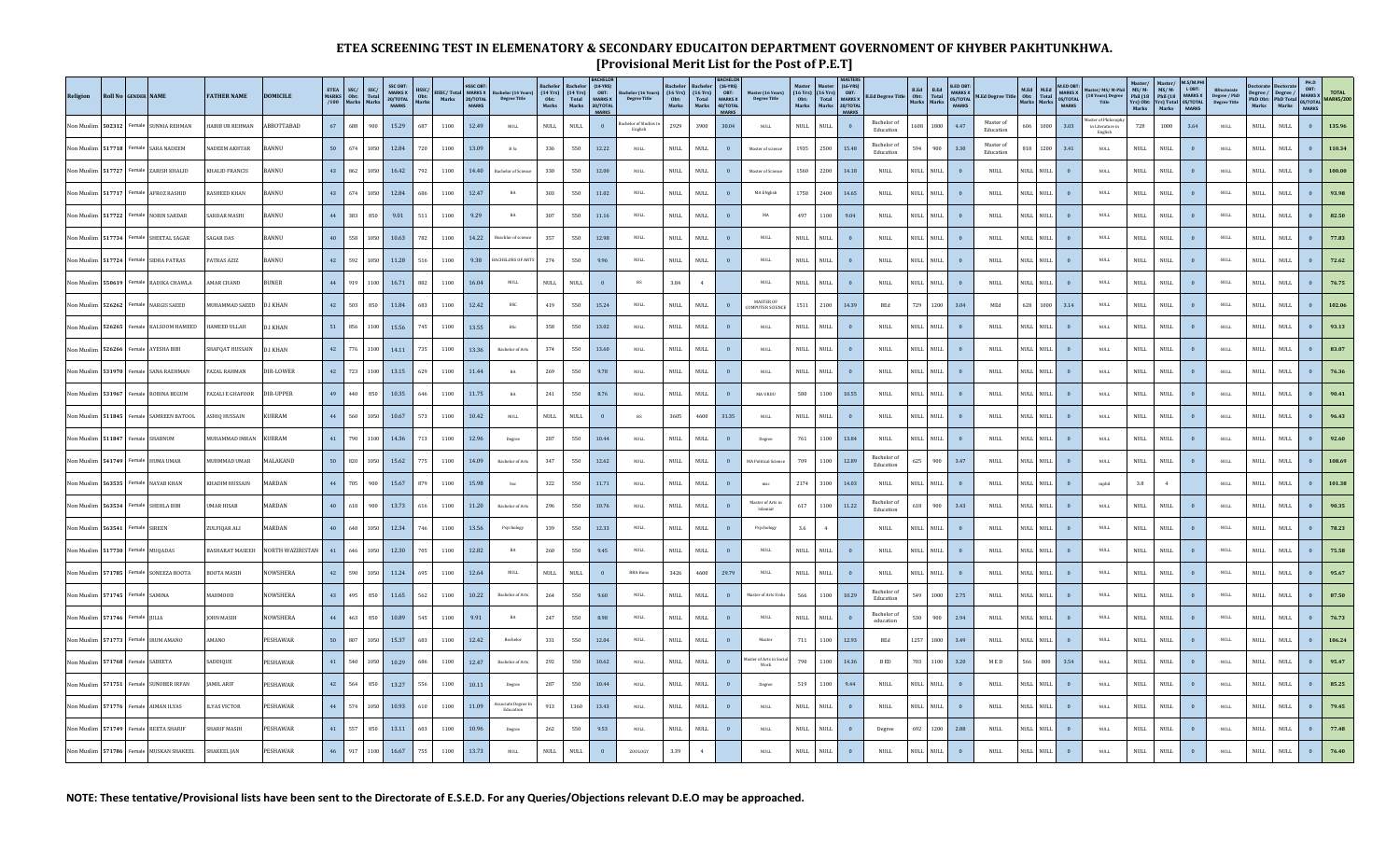## **ETEA SCREENING TEST IN ELEMENATORY & SECONDARY EDUCAITON DEPARTMENT GOVERNOMENT OF KHYBER PAKHTUNKHWA. [Provisional Merit List for the Post of P.E.T]**

| Religion          | Roll No GENDER NAME |                |                       | <b>FATHER NAME</b>      | <b>DOMICILE</b> |    | $\begin{tabular}{c c} ETEA & SSC/\\ MARKS & Obt: \\ /100 & Marks \\ \end{tabular}$ | SSC/<br>Total<br>Marks | SSC OBT:<br>MARKS X<br>20/TOTAL<br>MARKS | $\begin{array}{c} \text{HSSC/} \\ \text{Obt:} \\ \text{Marks} \end{array}$ |          | HSSC OBT:<br><b>MARKS</b> | HSSC/Total MARKS X Bachelor (14 Years)<br>Marks 20/TOTAL Degree Title | <b>achelo</b><br>$(14 \text{ Yrs})$<br>$0 \text{bt:}$<br>Marks | (14 Yrs)<br>Total<br>Marks   | (14-YRS)<br>OBT:<br>MARKS X<br>20/TOTAL<br><b>MARKS</b> | Bachelor (16 Years)<br>Degree Title | Bachelor<br>(16 Yrs)<br>Obt:<br>Marks |                              | Bachelor (16-YRS)<br>(16 Yrs) OBT:<br>Total MARKS X<br>Marks 40/TOTAL<br><b>MARKS</b> | Master (16 Years)<br>Degree Title   | $\begin{array}{ll} \text{(16 Yrs)} & \text{(16 Yrs)} \\ \text{Obt:} & \text{Total} \\ \text{Marks} & \text{Marks} \end{array}$ | $(16-YRS)$<br>OBT:<br>MARKS X<br>20/TOTAL<br>MARKS | <b>B.Ed Degree Title</b>        | B.Ed<br>Obt:<br>Marks | B.Ed<br>Total<br>Marks       | B.ED OBT:<br>MARKS X<br>05/TOTAL<br><b>MARKS</b> | M.Ed Degree Title M.Ed M.Ed Total<br>Marks Marks Marks |           | M.ED OBT:<br>MARKS X<br>05/TOTAL<br><b>MARKS</b> | Master/MS/M-Phil<br>(18 Years) Degree<br>Title   | Master/<br>MS/ M-<br>Phil (18<br>Yrs) Obt:<br>Marks | Master/<br>MS/M-<br>Phil (18<br>Yrs) Total<br>Marks | M.S/M.PI<br>LOBT:<br>MARKS X<br>05/TOTAL<br><b>MARKS</b> | $\begin{array}{c} \text{BDoctorate} \\ \text{Degree / PhD} \\ \text{Degree Title} \end{array}$ |                              | $\begin{tabular}{ c   c} Degree / & Degree / \\ PhD Obt: & PhD Total \\ Marks & Marks \\ \end{tabular}$ | PH.D<br>OBT:<br>MARKS X<br>05/TOTAL<br><b>MARKS</b> | <b>TOTAL</b><br>MARKS/20 |
|-------------------|---------------------|----------------|-----------------------|-------------------------|-----------------|----|------------------------------------------------------------------------------------|------------------------|------------------------------------------|----------------------------------------------------------------------------|----------|---------------------------|-----------------------------------------------------------------------|----------------------------------------------------------------|------------------------------|---------------------------------------------------------|-------------------------------------|---------------------------------------|------------------------------|---------------------------------------------------------------------------------------|-------------------------------------|--------------------------------------------------------------------------------------------------------------------------------|----------------------------------------------------|---------------------------------|-----------------------|------------------------------|--------------------------------------------------|--------------------------------------------------------|-----------|--------------------------------------------------|--------------------------------------------------|-----------------------------------------------------|-----------------------------------------------------|----------------------------------------------------------|------------------------------------------------------------------------------------------------|------------------------------|---------------------------------------------------------------------------------------------------------|-----------------------------------------------------|--------------------------|
| Ion Muslim 502312 |                     |                | Female SUNNIA REHMAN  | <b>HABIB UR REHMAN</b>  | ABBOTTABAD      | 67 | 688                                                                                | 900                    | 15.29                                    | 687                                                                        | 1100     | 12.49                     | $_{\rm NULL}$                                                         | $\ensuremath{\mathsf{NULL}}$                                   | $\ensuremath{\mathsf{NULL}}$ | $\overline{0}$                                          | helor of Studie<br>English          | 2929                                  | 3900                         | 30.04                                                                                 | $\mathop{\rm NULL}$                 | $\mbox{NULL}$<br><b>NULL</b>                                                                                                   | $\overline{0}$                                     | Bachelor of<br>Education        | 1608                  | 1800                         | 4.47                                             | Master of<br>Education                                 | 606       | 1000<br>3.03                                     | ister of Philosop<br>in Literature in<br>English | 728                                                 | 1000                                                | 3.64                                                     | <b>NULL</b>                                                                                    | $\mbox{NULL}$                | $\mbox{NULL}$                                                                                           | $\mathbf{0}$                                        | 135.96                   |
| on Muslim 517718  |                     |                | <b>SARA NADEEM</b>    | ADEEM AKHTAR            | BANNU           | 50 | 674                                                                                | 1050                   | 12.84                                    | 720                                                                        | $1100\,$ | 13.09                     | $\, {\bf B} \,$ Sc $\,$                                               | 336                                                            | 550                          | 12.22                                                   | $_{\rm NULL}$                       | $\texttt{NULL}$                       | $\mbox{NULL}$                | $\overline{\mathbf{0}}$                                                               | Master of science                   | 1935<br>2500                                                                                                                   | 15.48                                              | <b>Bachelor</b> of<br>Education | 594                   | 900                          | $3.30\,$                                         | Master of<br>Education                                 | 818       | 1200<br>3.41                                     | $\mathsf{NULL}$                                  | $\ensuremath{\mathsf{NULL}}$                        | $\mathop{\rm NULL}$                                 | $\overline{\mathbf{0}}$                                  | $_{\rm NULL}$                                                                                  | <b>NULL</b>                  | $\ensuremath{\mathsf{NULL}}$                                                                            |                                                     |                          |
| on Muslim 517727  |                     |                | Female ZARISH KHALID  | KHALID FRANCIS          | BANNU           | 43 | 862                                                                                | 1050                   | 16.42                                    | 792                                                                        | 1100     | 14.40                     | Bachelor of Science                                                   | 330                                                            | 550                          | 12.00                                                   | $\mbox{NULL}$                       | $\mathop{\rm NULL}$                   | $\ensuremath{\mathsf{NULL}}$ | $\overline{\mathbf{0}}$                                                               | Master of Science                   | 1560<br>2200                                                                                                                   | 14.18                                              | <b>NULL</b>                     | <b>NULL</b>           | $\ensuremath{\mathsf{NULL}}$ |                                                  | <b>NULL</b>                                            | NULL NULL | $\bf{0}$                                         | $\texttt{NULL}$                                  | <b>NULL</b>                                         | $\ensuremath{\mathsf{NULL}}$                        | $\overline{\mathbf{0}}$                                  | <b>NULL</b>                                                                                    | $\mbox{NULL}$                | $\rm NULL$                                                                                              | $\mathbf{0}$                                        | 100.00                   |
|                   | on Muslim 517717    |                | Female AFROZ RASHII   | <b>ASHEED KHAN</b>      | BANNU           | 43 | 674                                                                                | 1050                   | 12.84                                    | 686                                                                        | 1100     | 12.47                     | $_{\rm BA}$                                                           | 303                                                            | 550                          | 11.02                                                   | NULL                                | $\ensuremath{\mathsf{NULL}}$          | $\mbox{NULL}$                | $\overline{0}$                                                                        | MA ENglish                          | 1758<br>2400                                                                                                                   | 14.65                                              | <b>NULL</b>                     | <b>NULL</b>           | $\mathop{\rm NULL}$          | $\overline{0}$                                   | $\mathop{\rm NULL}$                                    | NULL NULL | $\overline{\mathbf{0}}$                          | <b>NULL</b>                                      | <b>NULL</b>                                         | $\mathop{\rm NULL}$                                 | $\overline{0}$                                           | <b>NULL</b>                                                                                    | $\mbox{NULL}$                | $\rm NULL$                                                                                              |                                                     |                          |
|                   | Ion Muslim 517722   |                | Female NORIN SARDAE   | SARDAR MASHI            | BANNU           | 44 | 383                                                                                | 850                    | 9.01                                     | 511                                                                        | 1100     | 9.29                      | $_{\rm BA}$                                                           | 307                                                            | 550                          | 11.16                                                   | $\mbox{NULL}$                       | $\mbox{NULL}$                         | $\ensuremath{\mathsf{NULL}}$ | $\overline{0}$                                                                        | MA                                  | 497<br>1100                                                                                                                    | 9.04                                               | <b>NULL</b>                     | <b>NULL</b>           | NULL                         |                                                  | $\mbox{NULL}$                                          | NULL NULL | $\mathbf{0}$                                     | $\texttt{NULL}$                                  | $\mbox{NULL}$                                       | $\mbox{NULL}$                                       | $\overline{0}$                                           | <b>NULL</b>                                                                                    | $\mbox{NULL}$                | $\rm NULL$                                                                                              | $\overline{0}$                                      | 82.50                    |
|                   | 517734              | emale          | SHEETAL SAGAI         | <b>AGAR DAS</b>         | <b>BANNU</b>    | 40 | 558                                                                                | 1050                   | 10.63                                    | 782                                                                        | 1100     | 14.22                     | eachlor of science                                                    | 357                                                            | 550                          | 12.98                                                   | $\mbox{NULL}$                       | $\mathop{\rm NULL}$                   | $\mathop{\rm NULL}$          | $\overline{0}$                                                                        | <b>NULL</b>                         | $\mbox{NULL}$<br>NULL                                                                                                          | $\overline{0}$                                     | <b>NULL</b>                     | NULL                  | $\mathop{\rm NULL}$          |                                                  | $\ensuremath{\mathsf{NULL}}$                           | NULL NULL | $\mathbf{0}$                                     | $\texttt{NULL}$                                  | <b>NULL</b>                                         | $\mbox{NULL}$                                       | $\overline{0}$                                           | <b>NULL</b>                                                                                    | $\mbox{NULL}$                | $\rm NULL$                                                                                              |                                                     |                          |
|                   | 517724              | Female         | SIDRA PATRA:          | ATRAS AZIZ              | BANNU           | 42 | 592                                                                                | 1050                   | 11.28                                    | 516                                                                        | $1100\,$ | 9.38                      | BACHELORS OF ARTS                                                     | 274                                                            | 550                          | 9.96                                                    | $\mbox{NULL}$                       | $\ensuremath{\mathsf{NULL}}$          | $\ensuremath{\mathsf{NULL}}$ | $\overline{0}$                                                                        | $\texttt{NULL}$                     | $\ensuremath{\mathsf{NULL}}$<br>$\mathop{\rm NULL}$                                                                            | $\overline{0}$                                     | <b>NULL</b>                     | NULL                  | $\texttt{NULL}$              |                                                  | $\ensuremath{\mathsf{NULL}}$                           | NULL NULL | $\mathbf{0}$                                     | $\texttt{NULL}$                                  | $\ensuremath{\mathsf{NULL}}$                        | $\mathop{\rm NULL}$                                 |                                                          | $_{\rm NULL}$                                                                                  | $\mbox{NULL}$                | $\mathop{\rm NULL}$                                                                                     |                                                     | 72.62                    |
|                   | on Muslim 550619    |                | Female RADIKA CHAWLA  | <b>AMAR CHAND</b>       | <b>BUNER</b>    | 44 | 919                                                                                | 1100                   | 16.71                                    | 882                                                                        | 1100     | 16.04                     | <b>NULL</b>                                                           | <b>NULL</b>                                                    | $\ensuremath{\mathsf{NULL}}$ | $\overline{0}$                                          | <b>BS</b>                           | 3.84                                  | $\overline{4}$               |                                                                                       | <b>NULL</b>                         | <b>NULL</b><br>$\mathop{\rm NULL}$                                                                                             | $\overline{0}$                                     | $\ensuremath{\mathsf{NULL}}$    | <b>NULL</b>           | NULL                         | $\mathbf{0}$                                     | <b>NULL</b>                                            | NULL NULL | $\overline{0}$                                   | <b>NULL</b>                                      | $\ensuremath{\mathsf{NULL}}$                        | $\mathop{\rm NULL}$                                 | $\mathbf{0}$                                             | <b>NULL</b>                                                                                    | $\ensuremath{\mathsf{NULL}}$ | $\rm NULL$                                                                                              |                                                     | 76.75                    |
| Ion Muslim 526262 |                     |                | Female NARGIS SAEED   | <b>MUHAMMAD SAEED</b>   | <b>D.I KHAN</b> | 42 | 503                                                                                | 850                    | 11.84                                    | 683                                                                        | 1100     | 12.42                     | BSC                                                                   | 419                                                            | 550                          | 15.24                                                   | <b>NULL</b>                         | $\mathop{\rm NULL}$                   | $\mbox{NULL}$                | $\theta$                                                                              | MASTER OF<br>OMPUTER SCIENC         | 1511<br>2100                                                                                                                   | 14.39                                              | <b>BEd</b>                      | 729                   | 1200                         | 3.04                                             | $_{\rm MEd}$                                           | 628 1000  | 3.14                                             | <b>NULL</b>                                      | <b>NULL</b>                                         | $\mathop{\rm NULL}$                                 | $\mathbf{0}$                                             | <b>NULL</b>                                                                                    | $\ensuremath{\mathsf{NULL}}$ | $\ensuremath{\mathsf{NULL}}$                                                                            |                                                     | 102.06                   |
| Ion Muslim 526265 |                     | Female         | <b>KALSOOM HAMEED</b> | <b>IAMEED ULLAH</b>     | <b>D.I KHAN</b> | 51 | 856                                                                                | 1100                   | 15.56                                    | 745                                                                        | 1100     | 13.55                     | BSc                                                                   | 358                                                            | 550                          | 13.02                                                   | $_{\rm NULL}$                       | $\mathop{\rm NULL}$                   | $\ensuremath{\mathsf{NULL}}$ | $\overline{\mathbf{0}}$                                                               | $_{\rm NULL}$                       | $\mbox{NULL}$<br>NULL                                                                                                          | $\overline{\mathbf{0}}$                            | $\ensuremath{\mathsf{NULL}}$    | NULL                  | $\mathop{\rm NULL}$          |                                                  | $\mbox{NULL}$                                          | NULL NULL | $\mathbf{0}$                                     | $_{\rm NULL}$                                    | $\mathop{\rm NULL}$                                 | $\mbox{NULL}$                                       | $\overline{\mathbf{0}}$                                  | <b>NULL</b>                                                                                    | $\mbox{NULL}$                | $\rm NULL$                                                                                              | $\mathbf{0}$                                        | 93.13                    |
| on Muslim 526266  |                     |                | <b>AYESHA BIB</b>     | <b>HAFQAT HUSSAIN</b>   | <b>D.I KHAN</b> | 42 | 776                                                                                | 1100                   | 14.11                                    | 735                                                                        | $1100\,$ | 13.36                     | <b>Bachelor of Arts</b>                                               | 374                                                            | 550                          | 13.60                                                   | $\mbox{NULL}$                       | $\ensuremath{\mathsf{NULL}}$          | $\ensuremath{\mathsf{NULL}}$ | $\overline{\mathbf{0}}$                                                               | <b>NULL</b>                         | $\ensuremath{\mathsf{NULL}}$<br>$\rm NULL$                                                                                     | $\bf{0}$                                           | <b>NULL</b>                     | NULL                  | $\mbox{NULL}$                |                                                  | $\ensuremath{\mathsf{NULL}}$                           | NULL NULL | $\mathbf{0}$                                     | $_{\rm NULL}$                                    | $\ensuremath{\mathsf{NULL}}$                        | $\mathop{\rm NULL}$                                 | $\bf{0}$                                                 | <b>NULL</b>                                                                                    | $\mbox{NULL}$                | $\mathop{\rm NULL}$                                                                                     |                                                     |                          |
| on Muslim         | 531970              |                | Female SANA RAEHMAN   | FAZAL RAHMAN            | DIR-LOWER       | 42 | 723                                                                                | 1100                   | 13.15                                    | 629                                                                        | 1100     | 11.44                     | $_{\rm BA}$                                                           | 269                                                            | 550                          | 9.78                                                    | $\mbox{NULL}$                       | $\ensuremath{\mathsf{NULL}}$          | $\mathop{\rm NULL}$          | $\overline{\phantom{a}}$                                                              | $\texttt{NULL}$                     | $\mbox{NULL}$<br>$\mbox{NULL}$                                                                                                 | $\overline{0}$                                     | <b>NULL</b>                     | $\mathop{\rm NULL}$   | $\mathop{\rm NULL}$          |                                                  | <b>NULL</b>                                            | NULL NULL | $\mathbf{0}$                                     | $\texttt{NULL}$                                  | $\ensuremath{\mathsf{NULL}}$                        | $\ensuremath{\mathsf{NULL}}$                        | $\overline{0}$                                           | $_{\rm NULL}$                                                                                  | $\mbox{NULL}$                | $\mbox{NULL}$                                                                                           | $\mathbf{0}$                                        | 76.36                    |
|                   | on Muslim 531967    |                | Female ROBINA BEGUN   | <b>FAZALI E GHAFOOR</b> | DIR-UPPER       | 49 | 440                                                                                | 850                    | 10.35                                    | 646                                                                        | 1100     | 11.75                     | $_{\rm BA}$                                                           | 241                                                            | 550                          | 8.76                                                    | <b>NULL</b>                         | $\mbox{NULL}$                         | $\ensuremath{\mathsf{NULL}}$ | $\overline{0}$                                                                        | <b>MA URDU</b>                      | 580<br>1100                                                                                                                    | 10.55                                              | <b>NULL</b>                     | <b>NULL</b>           | NULL                         |                                                  | $\mathop{\rm NULL}$                                    | NULL NULL | $\overline{\mathbf{0}}$                          | <b>NULL</b>                                      | $\mbox{NULL}$                                       | $\mbox{NULL}$                                       | $\theta$                                                 | <b>NULL</b>                                                                                    | $\mathop{\rm NULL}$          | <b>NULL</b>                                                                                             |                                                     | 90.4                     |
|                   | Ion Muslim 511845   |                | Female SAMREEN BATOOL | ASHIQ HUSSAIN           | <b>KURRAM</b>   | 44 | 560                                                                                | 1050                   | 10.67                                    | 573                                                                        | 1100     | 10.42                     | $_{\rm NULL}$                                                         | $\mbox{NULL}$                                                  | $\texttt{NULL}$              | $\mathbf{0}$                                            | <b>BS</b>                           | 3605                                  | 4600                         | 31.35                                                                                 | $\texttt{NULL}$                     | <b>NULL</b><br><b>NULL</b>                                                                                                     | $\overline{0}$                                     | <b>NULL</b>                     | <b>NULL</b>           | NULL                         |                                                  | $\mathop{\rm NULL}$                                    | NULL NULL | $\overline{\mathbf{0}}$                          | $\texttt{NULL}$                                  | $\mathop{\rm NULL}$                                 | $\mathop{\rm NULL}$                                 | $\overline{0}$                                           | <b>NULL</b>                                                                                    | <b>NULL</b>                  | $\mbox{NULL}$                                                                                           | $\overline{0}$                                      | 96.43                    |
| on Muslim         | 511847              | Female         |                       | UHAMMAD IMRAN           | KURRAM          | 41 | 790                                                                                | 1100                   | 14.36                                    | 713                                                                        | 1100     | 12.96                     | Degree                                                                | 287                                                            | 550                          | 10.44                                                   | $\mbox{NULL}$                       | $\mbox{NULL}$                         | $\mathop{\rm NULL}$          | $\overline{0}$                                                                        | Degree                              | 761<br>1100                                                                                                                    | 13.84                                              | NULL                            | NULL                  | $\mathop{\rm NULL}$          |                                                  | <b>NULL</b>                                            | NULL NULL | $\mathbf{0}$                                     | $\texttt{NULL}$                                  | <b>NULL</b>                                         | $\mbox{NULL}$                                       | $\overline{0}$                                           | <b>NULL</b>                                                                                    | $\mbox{NULL}$                | $\rm NULL$                                                                                              |                                                     |                          |
|                   | 541749              | Female         | <b>HUMA UMAR</b>      | MUHMMAD UMAR            | MALAKAND        | 50 | 820                                                                                | 1050                   | 15.62                                    | 775                                                                        | 1100     | 14.09                     | <b>Bachelor</b> of Arts                                               | 347                                                            | 550                          | 12.62                                                   | NULL                                | $\mbox{NULL}$                         | $\ensuremath{\mathsf{NULL}}$ | $\bf{0}$                                                                              | <b>MA Political Scien</b>           | 709<br>1100                                                                                                                    | 12.89                                              | Bachelor of<br>Education        | 625                   | 900                          | 3.47                                             | $\ensuremath{\mathsf{NULL}}$                           | NULL NULL | $\bf{0}$                                         | $\texttt{NULL}$                                  | <b>NULL</b>                                         | $\ensuremath{\mathsf{NULL}}$                        |                                                          | <b>NULL</b>                                                                                    | <b>NULL</b>                  | $\mathop{\rm NULL}$                                                                                     | $\bf 0$                                             | 108.69                   |
| lon Muslim        | 563535              |                | Female NAYAB KHAN     | KHADIM HUSSAIN          | MARDAN          | 44 | 705                                                                                | 900                    | 15.67                                    | 879                                                                        | 1100     | 15.98                     | $_{\rm bsc}$                                                          | 322                                                            | 550                          | 11.71                                                   | $\mathop{\rm NULL}$                 | $\mathop{\rm NULL}$                   | $\mathop{\rm NULL}$          | $\overline{0}$                                                                        | $_{\rm{msc}}$                       | 2174<br>3100                                                                                                                   | 14.03                                              | <b>NULL</b>                     | <b>NULL</b>           | NULL                         | $\overline{0}$                                   | <b>NULL</b>                                            | NULL NULL | $\overline{\phantom{a}}$                         | mphil                                            | $3.8\,$                                             | 4                                                   |                                                          | <b>NULL</b>                                                                                    | $\ensuremath{\mathsf{NULL}}$ | $\ensuremath{\mathsf{NULL}}$                                                                            | $\mathbf{a}$                                        | 101.38                   |
| Ion Muslim 563534 |                     |                | Female SHEHLA BIBI    | <b>IMAR HISAR</b>       | MARDAN          | 40 | 618                                                                                | 900                    | 13.73                                    | 616                                                                        | 1100     | 11.20                     | <b>Bachelor</b> of Arts                                               | 296                                                            | 550                          | 10.76                                                   | <b>NULL</b>                         | $\mathop{\rm NULL}$                   | $\mbox{NULL}$                | $\sqrt{0}$                                                                            | Master of Arts in<br>$\rm Islamiat$ | 617<br>1100                                                                                                                    | 11.22                                              | <b>Bachelor</b> of<br>Education | 618                   | 900                          | 3.43                                             | $\mbox{NULL}$                                          | NULL NULL | $\overline{0}$                                   | <b>NULL</b>                                      | $\mathop{\rm NULL}$                                 | $\ensuremath{\mathsf{NULL}}$                        | $\mathbf{0}$                                             | <b>NULL</b>                                                                                    | $\mbox{NULL}$                | $\rm NULL$                                                                                              |                                                     | 90.35                    |
| Ion Muslim 563541 |                     | Female SIREEN  |                       | ZULFIQAR ALI            | MARDAN          | 40 | 648                                                                                | 1050                   | 12.34                                    | 746                                                                        | 1100     | 13.56                     | Psychology                                                            | 339                                                            | 550                          | 12.33                                                   | $\mbox{NULL}$                       | $\mathop{\rm NULL}$                   | $\ensuremath{\mathsf{NULL}}$ | $\overline{0}$                                                                        | Psychology                          | 3.6<br>$\overline{4}$                                                                                                          |                                                    | <b>NULL</b>                     | NULL                  | $\mathop{\rm NULL}$          |                                                  | $\mbox{NULL}$                                          | VULL NULL | $\mathbf{0}$                                     | $_{\rm NULL}$                                    | $\mathop{\rm NULL}$                                 | $\ensuremath{\mathsf{NULL}}$                        | $\overline{0}$                                           | <b>NULL</b>                                                                                    | <b>NULL</b>                  | $\rm NULL$                                                                                              |                                                     | 78.23                    |
| on Muslim 517730  |                     |                | Female MUQADAS        | <b>BASHARAT MASEEH</b>  | NORTH WAZIRISTA |    | 646                                                                                | 1050                   | 12.30                                    | 705                                                                        | 1100     | 12.82                     | $_{\rm BA}$                                                           | 260                                                            | 550                          | 9.45                                                    | $\mbox{NULL}$                       | $\ensuremath{\mathsf{NULL}}$          | $\mbox{NULL}$                | $\overline{\mathbf{0}}$                                                               | <b>NULL</b>                         | $\mbox{NULL}$<br>$\mathop{\rm NULL}$                                                                                           | $\overline{0}$                                     | <b>NULL</b>                     | NULL                  | NULL                         |                                                  | $\ensuremath{\mathsf{NULL}}$                           | NULL NULL | $\mathbf{0}$                                     | $\texttt{NULL}$                                  | <b>NULL</b>                                         | $\mathop{\rm NULL}$                                 | $\overline{\mathbf{0}}$                                  | <b>NULL</b>                                                                                    | $\mbox{NULL}$                | $\ensuremath{\mathsf{NULL}}$                                                                            |                                                     |                          |
|                   | on Muslim 571785    |                | Female SONEEZA BOOTA  | BOOTA MASIH             | NOWSHERA        | 42 | 590                                                                                | 1050                   | 11.24                                    | 695                                                                        | 1100     | 12.64                     | $_{\rm NULL}$                                                         | $\mathop{\rm NULL}$                                            | $\ensuremath{\mathsf{NULL}}$ | $\mathbf{0}$                                            | <b>BBA Hons</b>                     | 3426                                  | 4600                         | 29.79                                                                                 | <b>NULL</b>                         | $\mbox{NULL}$<br>$\mathop{\rm NULL}$                                                                                           | $\overline{0}$                                     | <b>NULL</b>                     | <b>NULL</b>           | NULL                         |                                                  | <b>NULL</b>                                            | NULL NULL | $\mathbf{0}$                                     | <b>NULL</b>                                      | $\mathop{\rm NULL}$                                 | $\mathop{\rm NULL}$                                 | $\overline{0}$                                           | <b>NULL</b>                                                                                    | $\mbox{NULL}$                | $\ensuremath{\mathsf{NULL}}$                                                                            | $\mathbf{0}$                                        | 95.67                    |
|                   | on Muslim 571745    | Female SAMINA  |                       | MAHMOOD                 | NOWSHERA        | 43 | 495                                                                                | 850                    | 11.65                                    | 562                                                                        | 1100     | 10.22                     | <b>Bachelor</b> of Arts                                               | 264                                                            | 550                          | 9.60                                                    | NULL                                | $\mathop{\rm NULL}$                   | $\ensuremath{\mathsf{NULL}}$ | $\overline{0}$                                                                        | Master of Arts Urd                  | 1100<br>566                                                                                                                    | 10.29                                              | <b>Bachelor</b> of<br>Education | 549                   | 1000                         | 2.75                                             | $\mathop{\rm NULL}$                                    | NULL NULL | $\overline{\phantom{0}}$                         | $\mathsf{NULL}$                                  | $\ensuremath{\mathsf{NULL}}$                        | $\mathop{\rm NULL}$                                 | $\overline{0}$                                           | <b>NULL</b>                                                                                    | $\ensuremath{\mathsf{NULL}}$ | $\rm NULL$                                                                                              |                                                     | 87.5                     |
| Von Muslim 571746 |                     | Female IULIA   |                       | JOHN MASIH              | NOWSHERA        | 44 | 463                                                                                | 850                    | 10.89                                    | 545                                                                        | 1100     | 9.91                      | $_{\rm BA}$                                                           | 247                                                            | 550                          | 8.98                                                    | <b>NULL</b>                         | $\mathop{\rm NULL}$                   | $\mbox{NULL}$                | $\overline{0}$                                                                        | $\texttt{NULL}$                     | $\mbox{NULL}$<br><b>NULL</b>                                                                                                   | $\theta$                                           | Bachelor of<br>education        | 530                   | 900                          | 2.94                                             | $\mathop{\rm NULL}$                                    | NULL NULL | $\mathbf{0}$                                     | <b>NULL</b>                                      | <b>NULL</b>                                         | $\ensuremath{\mathsf{NULL}}$                        | $\overline{0}$                                           | NULL                                                                                           | $\mbox{NULL}$                | $\mbox{NULL}$                                                                                           | $\Omega$                                            | 76.73                    |
| on Muslim         | 571773              |                | Female IRUM AMAN      | AMANO                   | PESHAWAR        | 50 | 807                                                                                | 1050                   | 15.37                                    | 683                                                                        | 1100     | 12.42                     | Bechelor                                                              | 331                                                            | 550                          | 12.04                                                   | $\mbox{NULL}$                       | <b>NULL</b>                           | $\mathop{\rm NULL}$          | $\overline{0}$                                                                        | Master                              | 711<br>1100                                                                                                                    | 12.93                                              | BEd                             | 1257                  | 1800                         | 3.49                                             | $\mbox{NULL}$                                          | NULL NULL | $\mathbf{0}$                                     | $\texttt{NULL}$                                  | <b>NULL</b>                                         | $\mbox{NULL}$                                       | $\overline{0}$                                           | <b>NULL</b>                                                                                    | <b>NULL</b>                  | $\rm NULL$                                                                                              |                                                     |                          |
| on Muslim         | 571768              | Female SABEETA |                       | SADDIQUE                | PESHAWAR        | 41 | 540                                                                                | 1050                   | 10.29                                    | 686                                                                        | 1100     | 12.47                     | <b>Bachelor</b> of Arts                                               | 292                                                            | 550                          | 10.62                                                   | NULL                                | $\mbox{NULL}$                         | $\ensuremath{\mathsf{NULL}}$ | $\overline{\mathbf{0}}$                                                               | ter of Arts in Soci<br>Work         | 790<br>1100                                                                                                                    | 14.36                                              | $\,$ B $\,$ ED                  | 703                   | 1100                         | 3.20                                             | $M\to D$                                               | 566       | 800<br>3.54                                      | <b>NULL</b>                                      | <b>NULL</b>                                         | <b>NULL</b>                                         |                                                          | NULL                                                                                           | $\mbox{NULL}$                | $\rm NULL$                                                                                              | $\overline{0}$                                      | 95.47                    |
| Ion Muslim 571751 |                     |                | Female SUNOBER IRFAN  | <b>JAMIL ARIF</b>       | PESHAWAR        | 42 | 564                                                                                | 850                    | 13.27                                    | 556                                                                        | 1100     | 10.11                     | Degree                                                                | 287                                                            | 550                          | 10.44                                                   | <b>NULL</b>                         | $\mathop{\rm NULL}$                   | $\mathop{\rm NULL}$          | $\overline{0}$                                                                        | Degree                              | 519<br>1100                                                                                                                    | 9.44                                               | <b>NULL</b>                     | <b>NULL</b>           | NULL                         | $\sqrt{0}$                                       | <b>NULL</b>                                            | NULL NULL | $\overline{0}$                                   | <b>NULL</b>                                      | <b>NULL</b>                                         | $\mathop{\rm NULL}$                                 | $\mathbf{0}$                                             | <b>NULL</b>                                                                                    | <b>NULL</b>                  | $\mbox{NULL}$                                                                                           |                                                     | 85.25                    |
| on Muslim 571776  |                     |                | Female AIMAN ILYAS    | <b>ILYAS VICTOR</b>     | PESHAWAR        | 44 | 574                                                                                | 1050                   | 10.93                                    | 610                                                                        | 1100     | 11.09                     | ociate Degree li<br>Education                                         | 913                                                            | 1360                         | 13.43                                                   | $\mathop{\rm NULL}$                 | $\mathop{\rm NULL}$                   | $\mbox{NULL}$                | $\overline{0}$                                                                        | <b>NULL</b>                         | $\mbox{NULL}$<br>$\mathop{\rm NULL}$                                                                                           | $\overline{0}$                                     | <b>NULL</b>                     | NULL                  | NULL                         | $\overline{0}$                                   | $\mathop{\rm NULL}$                                    | NULL NULL | $\bf{0}$                                         | <b>NULL</b>                                      | $\mathop{\rm NULL}$                                 | $\mathop{\rm NULL}$                                 | $\overline{0}$                                           | $\ensuremath{\mathsf{NULL}}$                                                                   | $\ensuremath{\mathsf{NULL}}$ | $\ensuremath{\mathsf{NULL}}$                                                                            |                                                     | 79.45                    |
|                   | on Muslim 571749    |                | Female REETA SHARIF   | <b>HARIF MASIH</b>      | PESHAWAR        | 41 | 557                                                                                | 850                    | 13.11                                    | 603                                                                        | 1100     | 10.96                     | Degree                                                                | 262                                                            | 550                          | 9.53                                                    | $_{\rm NULL}$                       | $\mathop{\rm NULL}$                   | $\mbox{NULL}$                | $\overline{0}$                                                                        | <b>NULL</b>                         | $\mbox{NULL}$<br>$_{\rm NULL}$                                                                                                 | $\overline{0}$                                     | Degree                          | 692                   | 1200                         | 2.88                                             | $\mathop{\rm NULL}$                                    | NULL NULL | $\mathbf{0}$                                     | $_{\rm NULL}$                                    | $\mathop{\rm NULL}$                                 | $\ensuremath{\mathsf{NULL}}$                        | $\overline{0}$                                           | <b>NULL</b>                                                                                    | $\mbox{NULL}$                | $\mbox{NULL}$                                                                                           |                                                     | 77.48                    |
|                   | ion Muslim 571786   |                | Female MUSKAN SHAKEE  | <b>AKEEL JAN</b>        | PESHAWAR        |    | 917                                                                                | 1100                   | 16.67                                    |                                                                            | 1100     | 13.73                     | $_{\rm NULL}$                                                         | $\mbox{NULL}$                                                  | $\ensuremath{\mathsf{NULL}}$ | $\overline{0}$                                          | ZOOLOGY                             | 3.39                                  |                              |                                                                                       | <b>NULL</b>                         | $\mbox{NULL}$<br>$\mathop{\rm NULL}$                                                                                           | $\overline{0}$                                     | <b>NULL</b>                     | <b>NULL</b>           | <b>NULL</b>                  |                                                  | $\mbox{NULL}$                                          | NULL NULL | $\mathbf{0}$                                     | $\texttt{NULL}$                                  | <b>NULL</b>                                         | $\mathop{\rm NULL}$                                 |                                                          | <b>NULL</b>                                                                                    | $\mbox{NULL}$                | $\rm NULL$                                                                                              |                                                     |                          |